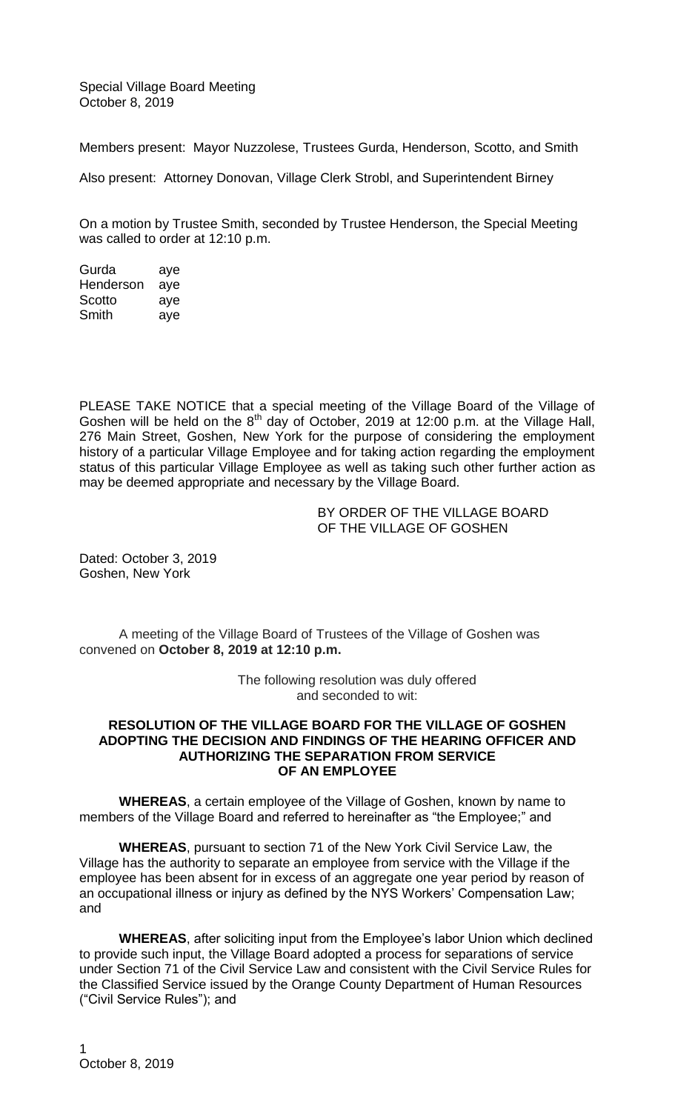Special Village Board Meeting October 8, 2019

Members present: Mayor Nuzzolese, Trustees Gurda, Henderson, Scotto, and Smith

Also present: Attorney Donovan, Village Clerk Strobl, and Superintendent Birney

On a motion by Trustee Smith, seconded by Trustee Henderson, the Special Meeting was called to order at 12:10 p.m.

Gurda aye Henderson aye Scotto aye Smith aye

PLEASE TAKE NOTICE that a special meeting of the Village Board of the Village of Goshen will be held on the 8<sup>th</sup> day of October, 2019 at 12:00 p.m. at the Village Hall, 276 Main Street, Goshen, New York for the purpose of considering the employment history of a particular Village Employee and for taking action regarding the employment status of this particular Village Employee as well as taking such other further action as may be deemed appropriate and necessary by the Village Board.

> BY ORDER OF THE VILLAGE BOARD OF THE VILLAGE OF GOSHEN

Dated: October 3, 2019 Goshen, New York

A meeting of the Village Board of Trustees of the Village of Goshen was convened on **October 8, 2019 at 12:10 p.m.**

> The following resolution was duly offered and seconded to wit:

## **RESOLUTION OF THE VILLAGE BOARD FOR THE VILLAGE OF GOSHEN ADOPTING THE DECISION AND FINDINGS OF THE HEARING OFFICER AND AUTHORIZING THE SEPARATION FROM SERVICE OF AN EMPLOYEE**

**WHEREAS**, a certain employee of the Village of Goshen, known by name to members of the Village Board and referred to hereinafter as "the Employee;" and

**WHEREAS**, pursuant to section 71 of the New York Civil Service Law, the Village has the authority to separate an employee from service with the Village if the employee has been absent for in excess of an aggregate one year period by reason of an occupational illness or injury as defined by the NYS Workers' Compensation Law; and

**WHEREAS**, after soliciting input from the Employee's labor Union which declined to provide such input, the Village Board adopted a process for separations of service under Section 71 of the Civil Service Law and consistent with the Civil Service Rules for the Classified Service issued by the Orange County Department of Human Resources ("Civil Service Rules"); and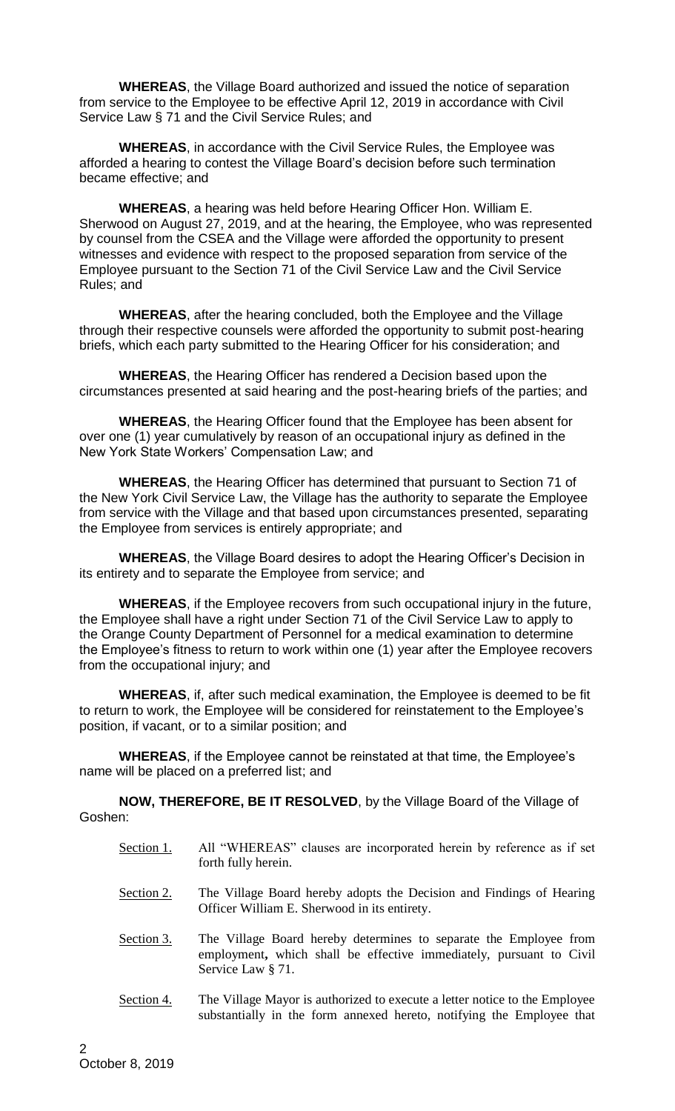**WHEREAS**, the Village Board authorized and issued the notice of separation from service to the Employee to be effective April 12, 2019 in accordance with Civil Service Law § 71 and the Civil Service Rules; and

**WHEREAS**, in accordance with the Civil Service Rules, the Employee was afforded a hearing to contest the Village Board's decision before such termination became effective; and

**WHEREAS**, a hearing was held before Hearing Officer Hon. William E. Sherwood on August 27, 2019, and at the hearing, the Employee, who was represented by counsel from the CSEA and the Village were afforded the opportunity to present witnesses and evidence with respect to the proposed separation from service of the Employee pursuant to the Section 71 of the Civil Service Law and the Civil Service Rules; and

**WHEREAS**, after the hearing concluded, both the Employee and the Village through their respective counsels were afforded the opportunity to submit post-hearing briefs, which each party submitted to the Hearing Officer for his consideration; and

**WHEREAS**, the Hearing Officer has rendered a Decision based upon the circumstances presented at said hearing and the post-hearing briefs of the parties; and

**WHEREAS**, the Hearing Officer found that the Employee has been absent for over one (1) year cumulatively by reason of an occupational injury as defined in the New York State Workers' Compensation Law; and

**WHEREAS**, the Hearing Officer has determined that pursuant to Section 71 of the New York Civil Service Law, the Village has the authority to separate the Employee from service with the Village and that based upon circumstances presented, separating the Employee from services is entirely appropriate; and

**WHEREAS**, the Village Board desires to adopt the Hearing Officer's Decision in its entirety and to separate the Employee from service; and

**WHEREAS**, if the Employee recovers from such occupational injury in the future, the Employee shall have a right under Section 71 of the Civil Service Law to apply to the Orange County Department of Personnel for a medical examination to determine the Employee's fitness to return to work within one (1) year after the Employee recovers from the occupational injury; and

**WHEREAS**, if, after such medical examination, the Employee is deemed to be fit to return to work, the Employee will be considered for reinstatement to the Employee's position, if vacant, or to a similar position; and

**WHEREAS**, if the Employee cannot be reinstated at that time, the Employee's name will be placed on a preferred list; and

**NOW, THEREFORE, BE IT RESOLVED**, by the Village Board of the Village of Goshen:

- Section 1. All "WHEREAS" clauses are incorporated herein by reference as if set forth fully herein.
- Section 2. The Village Board hereby adopts the Decision and Findings of Hearing Officer William E. Sherwood in its entirety.
- Section 3. The Village Board hereby determines to separate the Employee from employment**,** which shall be effective immediately, pursuant to Civil Service Law § 71.
- Section 4. The Village Mayor is authorized to execute a letter notice to the Employee substantially in the form annexed hereto, notifying the Employee that